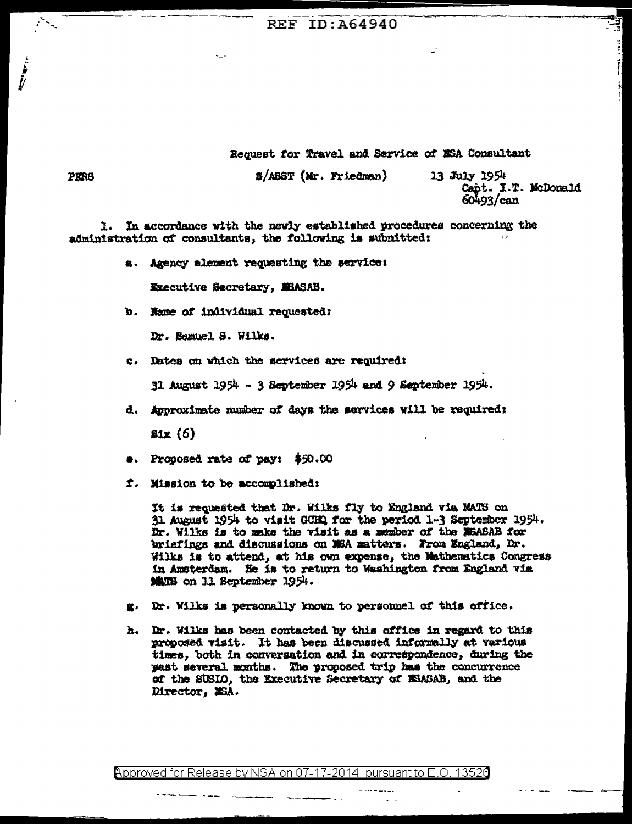## **REF ID: A64940**

Request for Travel and Service of NSA Consultant

*B/ABST (Mr. Friedman)* 

13 July 1954 Capt. I.T. McDonald  $60493 / \text{can}$ 

In accordance with the newly established procedures concerning the 1. administration of consultants, the following is submitted:

a. Agency element requesting the service:

Executive Secretary, MEASAB.

b. Hame of individual requested:

Dr. Samuel S. Wilks.

c. Dates on which the services are required:

31 August 1954 - 3 September 1954 and 9 September 1954.

d. Approximate number of days the services will be required;

 $41x(6)$ 

- $\bullet$ . Proposed rate of pay:  $$50.00$
- f. Mission to be accomplished:

It is requested that Dr. Wilks fly to England via MATS on 31 August 1954 to visit GCHQ for the period 1-3 September 1954. Dr. Wilks is to make the visit as a member of the MEASAB for briefings and discussions on MEA matters. From England, Dr. Wilks is to attend, at his own expense, the Mathematics Congress in Amsterdam. He is to return to Washington from England via MANES on 11 September 1954.

- g. Dr. Wilks is personally known to personnel of this office.
- h. Dr. Wilks has been contacted by this office in regard to this proposed visit. It has been discussed informally at various times, both in conversation and in correspondence, during the past several months. The proposed trip has the concurrence of the SUSIO, the Executive Secretary of ESASAB, and the Director, MSA.

**PERS**